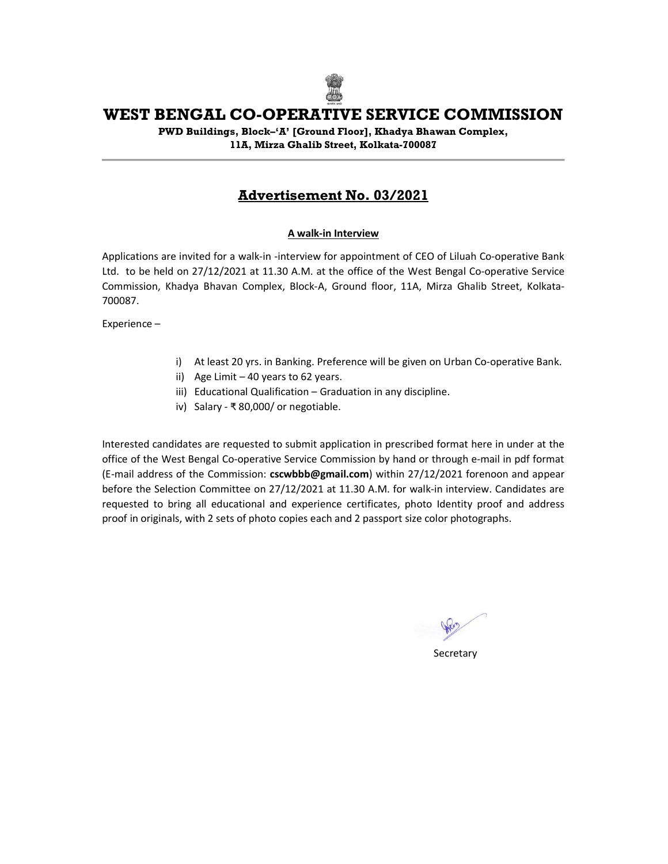

# WEST BENGAL CO-OPERATIVE SERVICE COMMISSION

PWD Buildings, Block–'A' [Ground Floor], Khadya Bhawan Complex, 11A, Mirza Ghalib Street, Kolkata-700087

# Advertisement No. 03/2021

#### A walk-in Interview

Applications are invited for a walk-in -interview for appointment of CEO of Liluah Co-operative Bank Ltd. to be held on 27/12/2021 at 11.30 A.M. at the office of the West Bengal Co-operative Service Commission, Khadya Bhavan Complex, Block-A, Ground floor, 11A, Mirza Ghalib Street, Kolkata-700087.

Experience –

- i) At least 20 yrs. in Banking. Preference will be given on Urban Co-operative Bank.
- ii) Age Limit  $-40$  years to 62 years.
- iii) Educational Qualification Graduation in any discipline.
- iv) Salary ₹ 80,000/ or negotiable.

Interested candidates are requested to submit application in prescribed format here in under at the office of the West Bengal Co-operative Service Commission by hand or through e-mail in pdf format (E-mail address of the Commission: cscwbbb@gmail.com) within 27/12/2021 forenoon and appear before the Selection Committee on 27/12/2021 at 11.30 A.M. for walk-in interview. Candidates are requested to bring all educational and experience certificates, photo Identity proof and address proof in originals, with 2 sets of photo copies each and 2 passport size color photographs.

**Secretary**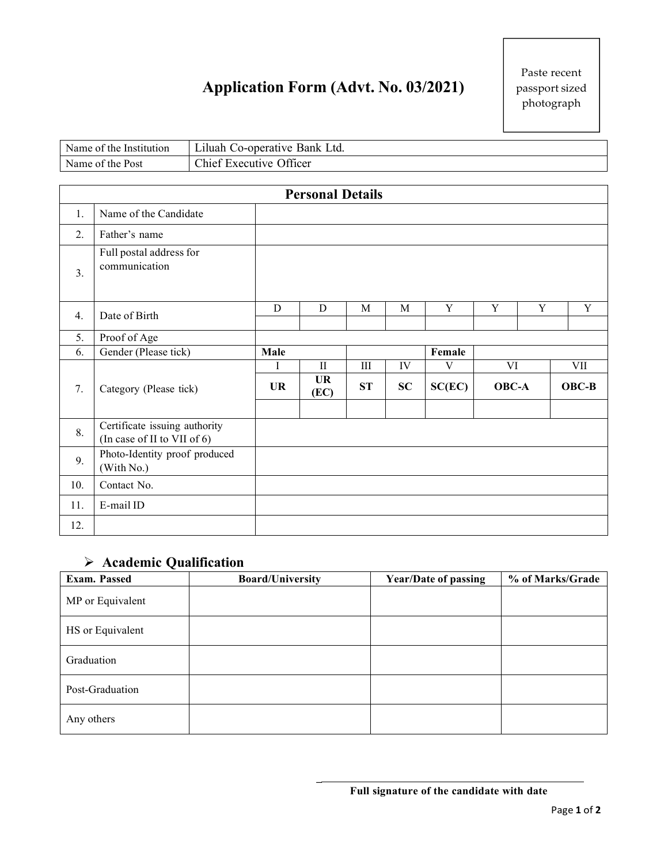# **Application Form (Advt. No. 03/2021)**

| Name of the<br>: Institution | Utd.<br>Co-operative Bank<br>aluah.     |
|------------------------------|-----------------------------------------|
| Name of the Post             | Officer<br>$\sim$ hiet L<br>- Executive |

| <b>Personal Details</b> |                                                              |           |                   |             |             |        |             |             |             |
|-------------------------|--------------------------------------------------------------|-----------|-------------------|-------------|-------------|--------|-------------|-------------|-------------|
| 1.                      | Name of the Candidate                                        |           |                   |             |             |        |             |             |             |
| 2.                      | Father's name                                                |           |                   |             |             |        |             |             |             |
| 3.                      | Full postal address for<br>communication                     |           |                   |             |             |        |             |             |             |
| 4.                      | Date of Birth                                                | ${\bf D}$ | ${\bf D}$         | $\mathbf M$ | $\mathbf M$ | Y      | $\mathbf Y$ | $\mathbf Y$ | $\mathbf Y$ |
| 5.                      | Proof of Age                                                 |           |                   |             |             |        |             |             |             |
| 6.                      | Gender (Please tick)                                         | Male      |                   |             |             | Female |             |             |             |
|                         |                                                              | Ι         | $\rm II$          | $\rm III$   | IV          | V      | VI          |             | VII         |
| 7.                      | Category (Please tick)                                       | <b>UR</b> | <b>UR</b><br>(EC) | ST          | SC          | SC(EC) | OBC-A       |             | $OBC-B$     |
| 8.                      | Certificate issuing authority<br>(In case of II to VII of 6) |           |                   |             |             |        |             |             |             |
| 9.                      | Photo-Identity proof produced<br>(With No.)                  |           |                   |             |             |        |             |             |             |
| 10.                     | Contact No.                                                  |           |                   |             |             |        |             |             |             |
| 11.                     | E-mail ID                                                    |           |                   |             |             |        |             |             |             |
| 12.                     |                                                              |           |                   |             |             |        |             |             |             |

# **Academic Qualification**

| Exam. Passed     | <b>Board/University</b> | <b>Year/Date of passing</b> | % of Marks/Grade |
|------------------|-------------------------|-----------------------------|------------------|
| MP or Equivalent |                         |                             |                  |
| HS or Equivalent |                         |                             |                  |
| Graduation       |                         |                             |                  |
| Post-Graduation  |                         |                             |                  |
| Any others       |                         |                             |                  |

**\_**